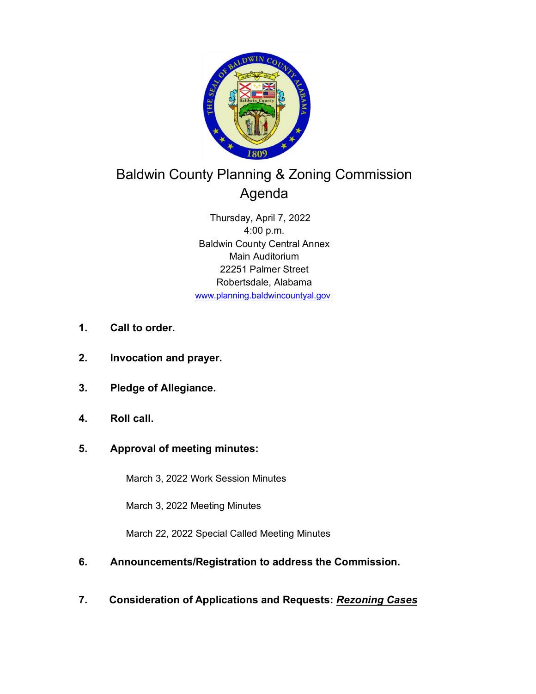

# Baldwin County Planning & Zoning Commission Agenda

Thursday, April 7, 2022 4:00 p.m. Baldwin County Central Annex Main Auditorium 22251 Palmer Street Robertsdale, Alabama www.planning.baldwincountyal.gov

- **1. Call to order.**
- **2. Invocation and prayer.**
- **3. Pledge of Allegiance.**
- **4. Roll call.**
- **5. Approval of meeting minutes:**

March 3, 2022 Work Session Minutes

March 3, 2022 Meeting Minutes

March 22, 2022 Special Called Meeting Minutes

- **6. Announcements/Registration to address the Commission.**
- **7. Consideration of Applications and Requests:** *Rezoning Cases*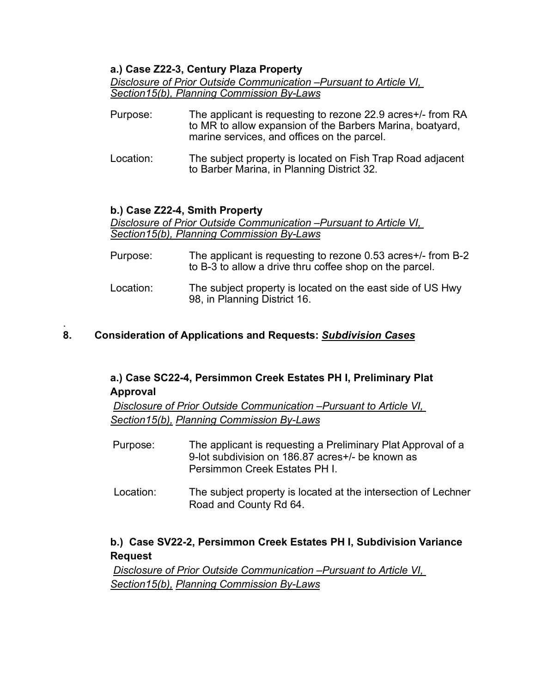## **a.) Case Z22-3, Century Plaza Property**

*Disclosure of Prior Outside Communication –Pursuant to Article VI, Section15(b), Planning Commission By-Laws*

- Purpose: The applicant is requesting to rezone 22.9 acres+/- from RA to MR to allow expansion of the Barbers Marina, boatyard, marine services, and offices on the parcel.
- Location: The subject property is located on Fish Trap Road adjacent to Barber Marina, in Planning District 32.

## **b.) Case Z22-4, Smith Property**

*Disclosure of Prior Outside Communication –Pursuant to Article VI, Section15(b), Planning Commission By-Laws*

- Purpose: The applicant is requesting to rezone 0.53 acres+/- from B-2 to B-3 to allow a drive thru coffee shop on the parcel.
- Location: The subject property is located on the east side of US Hwy 98, in Planning District 16.

#### . **8. Consideration of Applications and Requests:** *Subdivision Cases*

## **a.) Case SC22-4, Persimmon Creek Estates PH I, Preliminary Plat Approval**

*Disclosure of Prior Outside Communication –Pursuant to Article VI, Section15(b), Planning Commission By-Laws*

- Purpose: The applicant is requesting a Preliminary Plat Approval of a 9-lot subdivision on 186.87 acres+/- be known as Persimmon Creek Estates PH I.
- Location: The subject property is located at the intersection of Lechner Road and County Rd 64.

## **b.) Case SV22-2, Persimmon Creek Estates PH I, Subdivision Variance Request**

*Disclosure of Prior Outside Communication –Pursuant to Article VI, Section15(b), Planning Commission By-Laws*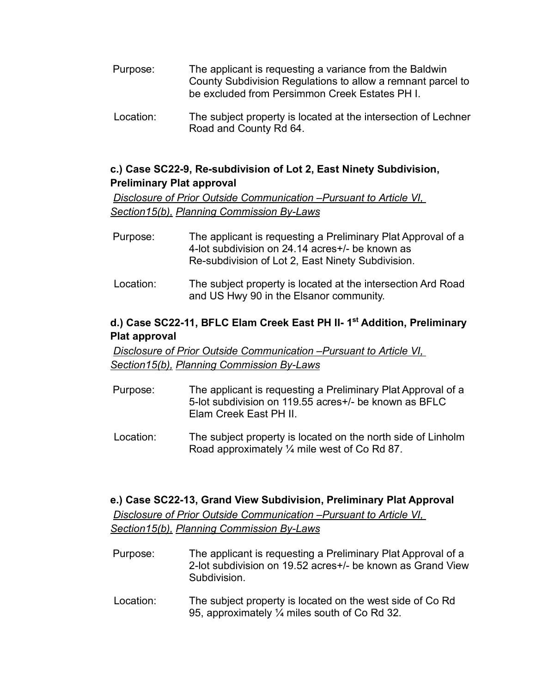- Purpose: The applicant is requesting a variance from the Baldwin County Subdivision Regulations to allow a remnant parcel to be excluded from Persimmon Creek Estates PH I.
- Location: The subject property is located at the intersection of Lechner Road and County Rd 64.

## **c.) Case SC22-9, Re-subdivision of Lot 2, East Ninety Subdivision, Preliminary Plat approval**

*Disclosure of Prior Outside Communication –Pursuant to Article VI, Section15(b), Planning Commission By-Laws*

- Purpose: The applicant is requesting a Preliminary Plat Approval of a 4-lot subdivision on 24.14 acres+/- be known as Re-subdivision of Lot 2, East Ninety Subdivision.
- Location: The subject property is located at the intersection Ard Road and US Hwy 90 in the Elsanor community.

## **d.) Case SC22-11, BFLC Elam Creek East PH II- 1st Addition, Preliminary Plat approval**

*Disclosure of Prior Outside Communication –Pursuant to Article VI, Section15(b), Planning Commission By-Laws*

- Purpose: The applicant is requesting a Preliminary Plat Approval of a 5-lot subdivision on 119.55 acres+/- be known as BFLC Elam Creek East PH II.
- Location: The subject property is located on the north side of Linholm Road approximately ¼ mile west of Co Rd 87.

## **e.) Case SC22-13, Grand View Subdivision, Preliminary Plat Approval** *Disclosure of Prior Outside Communication –Pursuant to Article VI, Section15(b), Planning Commission By-Laws*

- Purpose: The applicant is requesting a Preliminary Plat Approval of a 2-lot subdivision on 19.52 acres+/- be known as Grand View **Subdivision**
- Location: The subject property is located on the west side of Co Rd 95, approximately ¼ miles south of Co Rd 32.